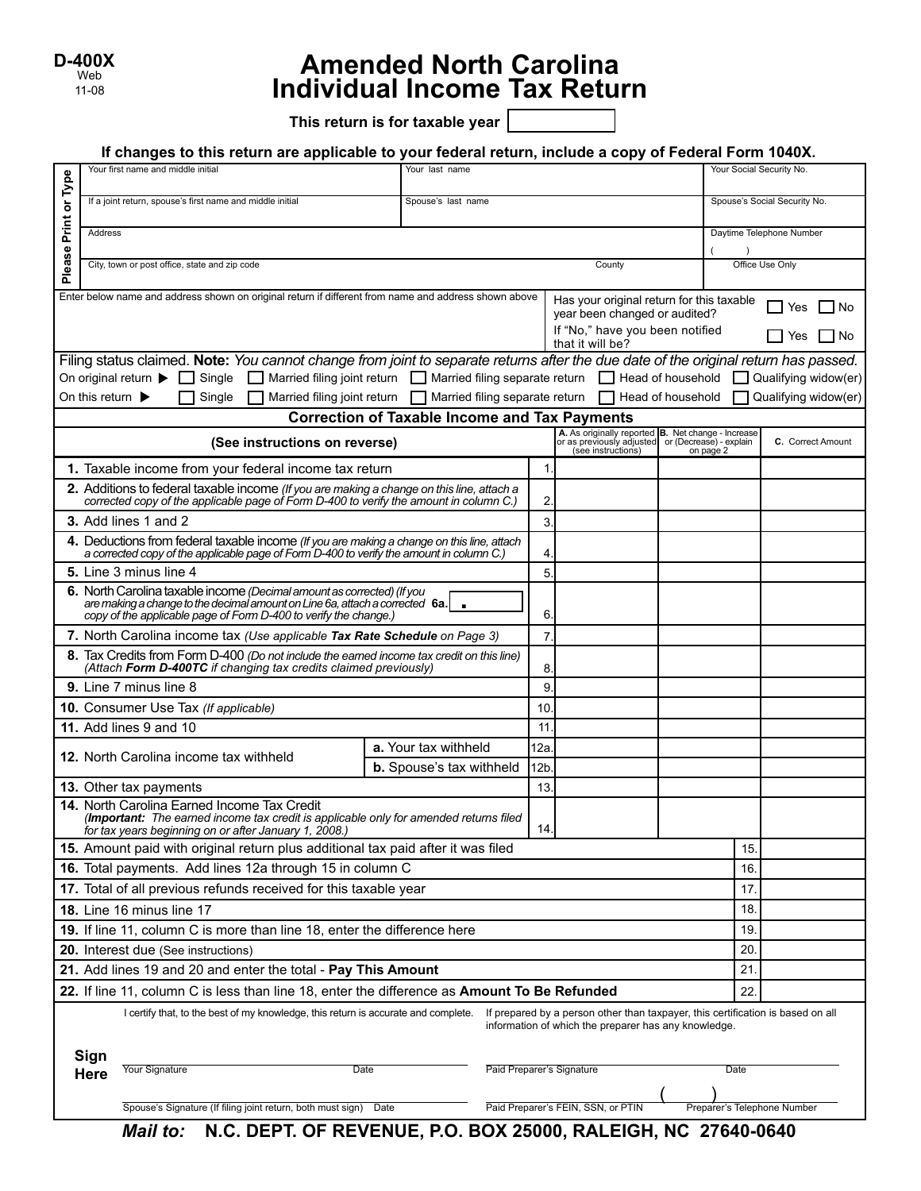| D-400X |
|--------|
| Web    |
| 11-08  |

# **Amended North Carolina Individual Income Tax Return**

**This return is for taxable year** 

#### **If changes to this return are applicable to your federal return, include a copy of Federal Form 1040X.**

|                                                                                                                                                                                                                               |                                                                                                                                                                                                | Your first name and middle initial                                                                                                                                                     | Your last name                                             |                    |                           |                                                                                                         |                 | Your Social Security No.    |                              |
|-------------------------------------------------------------------------------------------------------------------------------------------------------------------------------------------------------------------------------|------------------------------------------------------------------------------------------------------------------------------------------------------------------------------------------------|----------------------------------------------------------------------------------------------------------------------------------------------------------------------------------------|------------------------------------------------------------|--------------------|---------------------------|---------------------------------------------------------------------------------------------------------|-----------------|-----------------------------|------------------------------|
| or Type                                                                                                                                                                                                                       |                                                                                                                                                                                                | If a joint return, spouse's first name and middle initial                                                                                                                              |                                                            | Spouse's last name |                           |                                                                                                         |                 |                             | Spouse's Social Security No. |
| Print                                                                                                                                                                                                                         |                                                                                                                                                                                                |                                                                                                                                                                                        |                                                            |                    |                           |                                                                                                         |                 |                             | Daytime Telephone Number     |
|                                                                                                                                                                                                                               |                                                                                                                                                                                                | Address                                                                                                                                                                                |                                                            |                    |                           |                                                                                                         |                 |                             |                              |
| Please                                                                                                                                                                                                                        | City, town or post office, state and zip code<br>County                                                                                                                                        |                                                                                                                                                                                        |                                                            |                    |                           |                                                                                                         | Office Use Only |                             |                              |
|                                                                                                                                                                                                                               |                                                                                                                                                                                                | Enter below name and address shown on original return if different from name and address shown above                                                                                   |                                                            |                    |                           | Has your original return for this taxable                                                               |                 |                             |                              |
|                                                                                                                                                                                                                               |                                                                                                                                                                                                |                                                                                                                                                                                        |                                                            |                    |                           | year been changed or audited?                                                                           |                 |                             | l No<br>Yes                  |
|                                                                                                                                                                                                                               | If "No," have you been notified<br>Yes<br>that it will be?                                                                                                                                     |                                                                                                                                                                                        |                                                            |                    |                           |                                                                                                         |                 | l No                        |                              |
|                                                                                                                                                                                                                               | Filing status claimed. Note: You cannot change from joint to separate returns after the due date of the original return has passed.                                                            |                                                                                                                                                                                        |                                                            |                    |                           |                                                                                                         |                 |                             |                              |
|                                                                                                                                                                                                                               | On original return $\blacktriangleright \Box$ Single $\Box$ Married filing joint return $\Box$ Married filing separate return $\Box$ Head of household<br>Qualifying widow(er)<br>$\mathbf{I}$ |                                                                                                                                                                                        |                                                            |                    |                           |                                                                                                         |                 |                             |                              |
|                                                                                                                                                                                                                               | On this return $\blacktriangleright$                                                                                                                                                           | Single                                                                                                                                                                                 | Married filing joint return Married filing separate return |                    |                           | Head of household                                                                                       |                 |                             | Qualifying widow(er)         |
|                                                                                                                                                                                                                               |                                                                                                                                                                                                |                                                                                                                                                                                        | <b>Correction of Taxable Income and Tax Payments</b>       |                    |                           | A. As originally reported B. Net change - Increase<br>or as previously adjusted or (Decrease) - explain |                 |                             |                              |
|                                                                                                                                                                                                                               |                                                                                                                                                                                                | (See instructions on reverse)                                                                                                                                                          |                                                            |                    |                           | (see instructions)                                                                                      | on page 2       |                             | C. Correct Amount            |
|                                                                                                                                                                                                                               |                                                                                                                                                                                                | 1. Taxable income from your federal income tax return                                                                                                                                  |                                                            |                    | 1                         |                                                                                                         |                 |                             |                              |
|                                                                                                                                                                                                                               |                                                                                                                                                                                                | 2. Additions to federal taxable income (If you are making a change on this line, attach a<br>corrected copy of the applicable page of Form D-400 to verify the amount in column C.)    |                                                            |                    | $\overline{2}$            |                                                                                                         |                 |                             |                              |
|                                                                                                                                                                                                                               |                                                                                                                                                                                                | 3. Add lines 1 and 2                                                                                                                                                                   |                                                            |                    | 3.                        |                                                                                                         |                 |                             |                              |
|                                                                                                                                                                                                                               |                                                                                                                                                                                                | 4. Deductions from federal taxable income (If you are making a change on this line, attach<br>a corrected copy of the applicable page of Form D-400 to verify the amount in column C.) |                                                            |                    | $\overline{4}$            |                                                                                                         |                 |                             |                              |
|                                                                                                                                                                                                                               |                                                                                                                                                                                                | 5. Line 3 minus line 4                                                                                                                                                                 |                                                            |                    | 5                         |                                                                                                         |                 |                             |                              |
|                                                                                                                                                                                                                               |                                                                                                                                                                                                | 6. North Carolina taxable income (Decimal amount as corrected) (If you                                                                                                                 |                                                            |                    |                           |                                                                                                         |                 |                             |                              |
|                                                                                                                                                                                                                               |                                                                                                                                                                                                | are making a change to the decimal amount on Line 6a, attach a corrected $\,$ 6a. $\,$<br>copy of the applicable page of Form D-400 to verify the change.)                             |                                                            |                    | 6                         |                                                                                                         |                 |                             |                              |
|                                                                                                                                                                                                                               |                                                                                                                                                                                                | 7. North Carolina income tax (Use applicable Tax Rate Schedule on Page 3)                                                                                                              |                                                            |                    | $\overline{7}$            |                                                                                                         |                 |                             |                              |
|                                                                                                                                                                                                                               |                                                                                                                                                                                                | 8. Tax Credits from Form D-400 (Do not include the earned income tax credit on this line)<br>(Attach Form D-400TC if changing tax credits claimed previously)                          |                                                            |                    | 8                         |                                                                                                         |                 |                             |                              |
|                                                                                                                                                                                                                               |                                                                                                                                                                                                | 9. Line 7 minus line 8                                                                                                                                                                 |                                                            |                    | 9                         |                                                                                                         |                 |                             |                              |
|                                                                                                                                                                                                                               |                                                                                                                                                                                                | 10. Consumer Use Tax (If applicable)                                                                                                                                                   |                                                            |                    | 10                        |                                                                                                         |                 |                             |                              |
|                                                                                                                                                                                                                               |                                                                                                                                                                                                | 11. Add lines 9 and 10                                                                                                                                                                 |                                                            |                    | 11                        |                                                                                                         |                 |                             |                              |
|                                                                                                                                                                                                                               | <b>12.</b> North Carolina income tax withheld                                                                                                                                                  |                                                                                                                                                                                        | a. Your tax withheld                                       |                    | 12a                       |                                                                                                         |                 |                             |                              |
|                                                                                                                                                                                                                               |                                                                                                                                                                                                | 13. Other tax payments                                                                                                                                                                 | <b>b.</b> Spouse's tax withheld                            |                    | 12 <sub>b</sub><br>13.    |                                                                                                         |                 |                             |                              |
|                                                                                                                                                                                                                               |                                                                                                                                                                                                | 14. North Carolina Earned Income Tax Credit                                                                                                                                            |                                                            |                    |                           |                                                                                                         |                 |                             |                              |
|                                                                                                                                                                                                                               |                                                                                                                                                                                                | (Important: The earned income tax credit is applicable only for amended returns filed<br>for tax years beginning on or after January 1, 2008.)                                         |                                                            |                    | 14.                       |                                                                                                         |                 |                             |                              |
|                                                                                                                                                                                                                               |                                                                                                                                                                                                | 15. Amount paid with original return plus additional tax paid after it was filed                                                                                                       |                                                            |                    |                           |                                                                                                         |                 | 15.                         |                              |
| 16. Total payments. Add lines 12a through 15 in column C                                                                                                                                                                      |                                                                                                                                                                                                |                                                                                                                                                                                        |                                                            |                    |                           |                                                                                                         | 16.             |                             |                              |
| 17. Total of all previous refunds received for this taxable year                                                                                                                                                              |                                                                                                                                                                                                |                                                                                                                                                                                        |                                                            |                    |                           |                                                                                                         | 17.             |                             |                              |
| 18. Line 16 minus line 17                                                                                                                                                                                                     |                                                                                                                                                                                                |                                                                                                                                                                                        |                                                            |                    |                           |                                                                                                         | 18.             |                             |                              |
| 19. If line 11, column C is more than line 18, enter the difference here                                                                                                                                                      |                                                                                                                                                                                                |                                                                                                                                                                                        |                                                            |                    |                           |                                                                                                         | 19.             |                             |                              |
| 20. Interest due (See instructions)                                                                                                                                                                                           |                                                                                                                                                                                                |                                                                                                                                                                                        |                                                            |                    |                           |                                                                                                         | 20              |                             |                              |
| 21. Add lines 19 and 20 and enter the total - Pay This Amount                                                                                                                                                                 |                                                                                                                                                                                                |                                                                                                                                                                                        |                                                            |                    |                           |                                                                                                         | 21.             |                             |                              |
| 22. If line 11, column C is less than line 18, enter the difference as Amount To Be Refunded<br>22.                                                                                                                           |                                                                                                                                                                                                |                                                                                                                                                                                        |                                                            |                    |                           |                                                                                                         |                 |                             |                              |
| I certify that, to the best of my knowledge, this return is accurate and complete.<br>If prepared by a person other than taxpayer, this certification is based on all<br>information of which the preparer has any knowledge. |                                                                                                                                                                                                |                                                                                                                                                                                        |                                                            |                    |                           |                                                                                                         |                 |                             |                              |
|                                                                                                                                                                                                                               | Sign                                                                                                                                                                                           |                                                                                                                                                                                        |                                                            |                    | Paid Preparer's Signature |                                                                                                         |                 |                             |                              |
|                                                                                                                                                                                                                               | Here                                                                                                                                                                                           | Your Signature<br>Date                                                                                                                                                                 |                                                            |                    |                           |                                                                                                         |                 | Date                        |                              |
|                                                                                                                                                                                                                               |                                                                                                                                                                                                | Paid Preparer's FEIN, SSN, or PTIN<br>Spouse's Signature (If filing joint return, both must sign)<br>Date                                                                              |                                                            |                    |                           |                                                                                                         |                 | Preparer's Telephone Number |                              |
|                                                                                                                                                                                                                               |                                                                                                                                                                                                |                                                                                                                                                                                        |                                                            |                    |                           |                                                                                                         |                 |                             |                              |

*Mail to:* **N.C. DEPT. OF REVENUE, P.O. BOX 25000, RALEIGH, NC 27640-0640**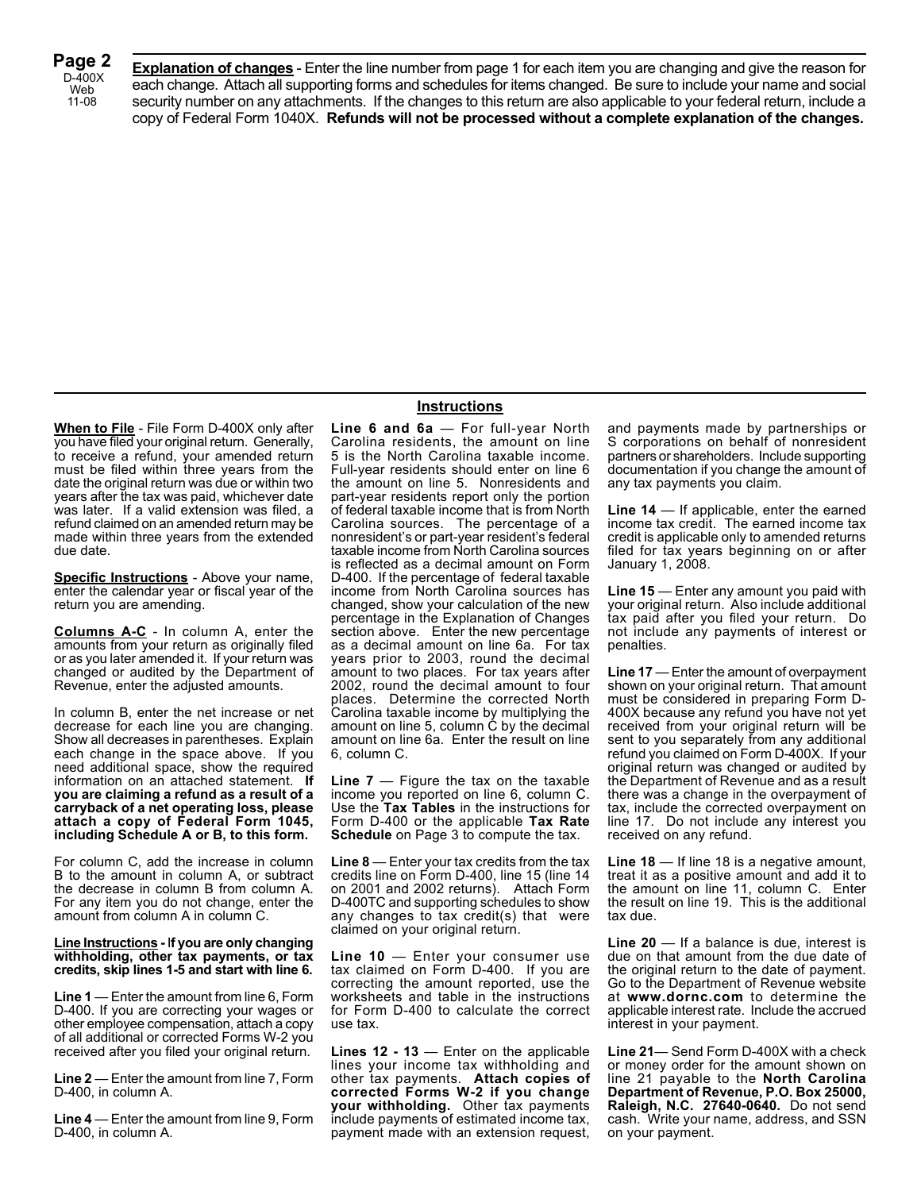**Page 2** D-400X Web 11-08

**Explanation of changes** - Enter the line number from page 1 for each item you are changing and give the reason for each change. Attach all supporting forms and schedules for items changed. Be sure to include your name and social security number on any attachments. If the changes to this return are also applicable to your federal return, include a copy of Federal Form 1040X. **Refunds will not be processed without a complete explanation of the changes.**

**When to File** - File Form D-400X only after you have filed your original return. Generally, to receive a refund, your amended return must be filed within three years from the date the original return was due or within two years after the tax was paid, whichever date was later. If a valid extension was filed, a refund claimed on an amended return may be made within three years from the extended due date.

**Specific Instructions** - Above your name, enter the calendar year or fiscal year of the return you are amending.

**Columns A-C** - In column A, enter the amounts from your return as originally filed or as you later amended it. If your return was changed or audited by the Department of Revenue, enter the adjusted amounts.

In column B, enter the net increase or net decrease for each line you are changing. Show all decreases in parentheses. Explain each change in the space above. If you need additional space, show the required information on an attached statement. **If you are claiming a refund as a result of a carryback of a net operating loss, please attach a copy of Federal Form 1045, including Schedule A or B, to this form.**

For column C, add the increase in column B to the amount in column A, or subtract the decrease in column B from column A. For any item you do not change, enter the amount from column A in column C.

**Line Instructions -** I**f you are only changing withholding, other tax payments, or tax credits, skip lines 1-5 and start with line 6.**

**Line 1** — Enter the amount from line 6, Form D-400. If you are correcting your wages or other employee compensation, attach a copy of all additional or corrected Forms W-2 you received after you filed your original return.

**Line 2** — Enter the amount from line 7, Form D-400, in column A.

**Line 4** — Enter the amount from line 9, Form D-400, in column A.

#### **Instructions**

**Line 6 and 6a** — For full-year North Carolina residents, the amount on line 5 is the North Carolina taxable income. Full-year residents should enter on line 6 the amount on line 5. Nonresidents and part-year residents report only the portion of federal taxable income that is from North Carolina sources. The percentage of a nonresident's or part-year resident's federal taxable income from North Carolina sources is reflected as a decimal amount on Form D-400. If the percentage of federal taxable income from North Carolina sources has changed, show your calculation of the new percentage in the Explanation of Changes section above. Enter the new percentage as a decimal amount on line 6a. For tax years prior to 2003, round the decimal amount to two places. For tax years after 2002, round the decimal amount to four places. Determine the corrected North Carolina taxable income by multiplying the amount on line 5, column C by the decimal amount on line 6a. Enter the result on line 6, column C.

**Line 7** — Figure the tax on the taxable income you reported on line 6, column C. Use the **Tax Tables** in the instructions for Form D-400 or the applicable **Tax Rate Schedule** on Page 3 to compute the tax.

**Line 8** — Enter your tax credits from the tax credits line on Form D-400, line 15 (line 14 on 2001 and 2002 returns). Attach Form D-400TC and supporting schedules to show any changes to tax credit(s) that were claimed on your original return.

**Line 10** — Enter your consumer use tax claimed on Form D-400. If you are correcting the amount reported, use the worksheets and table in the instructions for Form D-400 to calculate the correct use tax.

**Lines 12 - 13** — Enter on the applicable lines your income tax withholding and other tax payments. **Attach copies of corrected Forms W-2 if you change your withholding.** Other tax payments include payments of estimated income tax, payment made with an extension request, and payments made by partnerships or S corporations on behalf of nonresident partners or shareholders. Include supporting documentation if you change the amount of any tax payments you claim.

**Line 14** — If applicable, enter the earned income tax credit. The earned income tax credit is applicable only to amended returns filed for tax years beginning on or after January 1, 2008.

**Line 15** — Enter any amount you paid with your original return. Also include additional tax paid after you filed your return. Do not include any payments of interest or penalties.

**Line 17** — Enter the amount of overpayment shown on your original return. That amount must be considered in preparing Form D-400X because any refund you have not yet received from your original return will be sent to you separately from any additional refund you claimed on Form D-400X. If your original return was changed or audited by the Department of Revenue and as a result there was a change in the overpayment of tax, include the corrected overpayment on line 17. Do not include any interest you received on any refund.

**Line 18** — If line 18 is a negative amount, treat it as a positive amount and add it to the amount on line 11, column C. Enter the result on line 19. This is the additional tax due.

**Line 20** — If a balance is due, interest is due on that amount from the due date of the original return to the date of payment. Go to the Department of Revenue website at **www.dornc.com** to determine the applicable interest rate. Include the accrued interest in your payment.

**Line 21**— Send Form D-400X with a check or money order for the amount shown on line 21 payable to the **North Carolina Department of Revenue, P.O. Box 25000, Raleigh, N.C. 27640-0640.** Do not send cash. Write your name, address, and SSN on your payment.